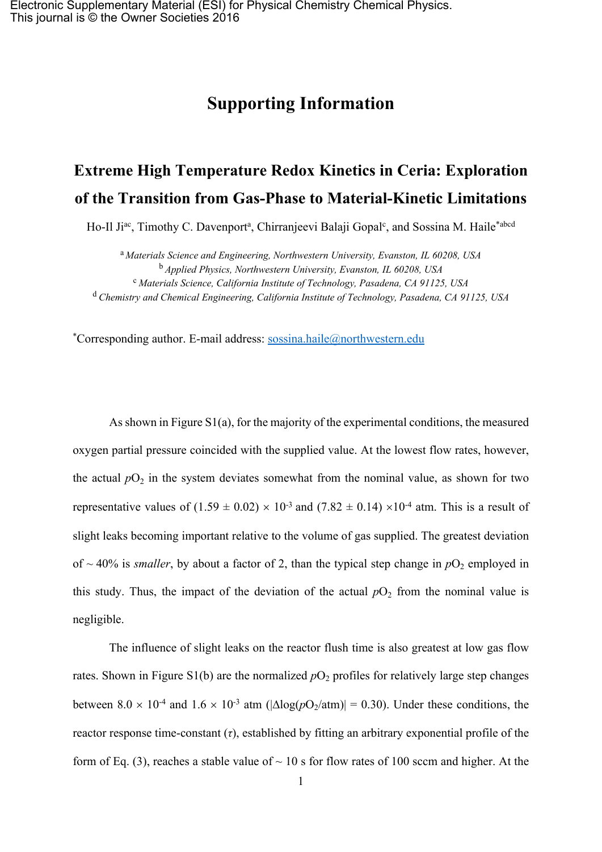## **Supporting Information**

## **Extreme High Temperature Redox Kinetics in Ceria: Exploration of the Transition from Gas-Phase to Material-Kinetic Limitations**

Ho-Il Ji<sup>ac</sup>, Timothy C. Davenport<sup>a</sup>, Chirranjeevi Balaji Gopal<sup>c</sup>, and Sossina M. Haile<sup>\*abcd</sup>

<sup>a</sup> *Materials Science and Engineering, Northwestern University, Evanston, IL 60208, USA* <sup>b</sup> *Applied Physics, Northwestern University, Evanston, IL 60208, USA* <sup>c</sup> *Materials Science, California Institute of Technology, Pasadena, CA 91125, USA* <sup>d</sup> *Chemistry and Chemical Engineering, California Institute of Technology, Pasadena, CA 91125, USA*

\*Corresponding author. E-mail address: [sossina.haile@northwestern.edu](mailto:sossina.haile@northwestern.edu)

As shown in Figure S1(a), for the majority of the experimental conditions, the measured oxygen partial pressure coincided with the supplied value. At the lowest flow rates, however, the actual  $pO_2$  in the system deviates somewhat from the nominal value, as shown for two representative values of  $(1.59 \pm 0.02) \times 10^{-3}$  and  $(7.82 \pm 0.14) \times 10^{-4}$  atm. This is a result of slight leaks becoming important relative to the volume of gas supplied. The greatest deviation of  $\sim$  40% is *smaller*, by about a factor of 2, than the typical step change in  $pO_2$  employed in this study. Thus, the impact of the deviation of the actual  $pO_2$  from the nominal value is negligible.

The influence of slight leaks on the reactor flush time is also greatest at low gas flow rates. Shown in Figure S1(b) are the normalized  $pO_2$  profiles for relatively large step changes between  $8.0 \times 10^{-4}$  and  $1.6 \times 10^{-3}$  atm ( $|\Delta \log (pO_2/\text{atm})| = 0.30$ ). Under these conditions, the reactor response time-constant (*τ*), established by fitting an arbitrary exponential profile of the form of Eq. (3), reaches a stable value of  $\sim$  10 s for flow rates of 100 sccm and higher. At the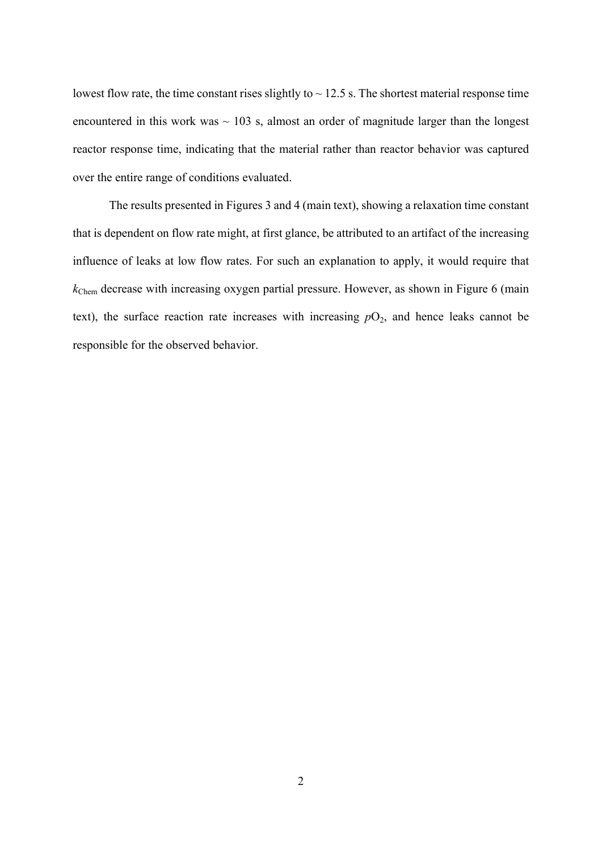lowest flow rate, the time constant rises slightly to  $\sim$  12.5 s. The shortest material response time encountered in this work was  $\sim$  103 s, almost an order of magnitude larger than the longest reactor response time, indicating that the material rather than reactor behavior was captured over the entire range of conditions evaluated.

The results presented in Figures 3 and 4 (main text), showing a relaxation time constant that is dependent on flow rate might, at first glance, be attributed to an artifact of the increasing influence of leaks at low flow rates. For such an explanation to apply, it would require that *k*Chem decrease with increasing oxygen partial pressure. However, as shown in Figure 6 (main text), the surface reaction rate increases with increasing  $pO_2$ , and hence leaks cannot be responsible for the observed behavior.